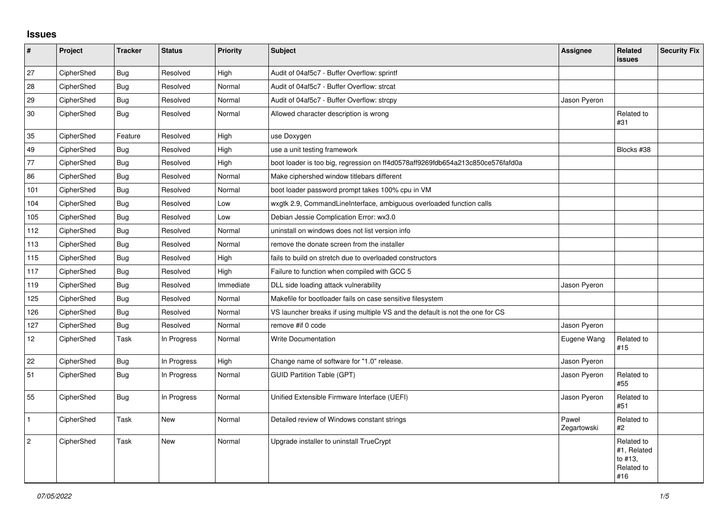## **Issues**

| $\pmb{\#}$      | Project    | <b>Tracker</b> | <b>Status</b> | <b>Priority</b> | <b>Subject</b>                                                                 | <b>Assignee</b>      | Related<br>issues                                         | <b>Security Fix</b> |
|-----------------|------------|----------------|---------------|-----------------|--------------------------------------------------------------------------------|----------------------|-----------------------------------------------------------|---------------------|
| 27              | CipherShed | Bug            | Resolved      | High            | Audit of 04af5c7 - Buffer Overflow: sprintf                                    |                      |                                                           |                     |
| 28              | CipherShed | Bug            | Resolved      | Normal          | Audit of 04af5c7 - Buffer Overflow: strcat                                     |                      |                                                           |                     |
| 29              | CipherShed | Bug            | Resolved      | Normal          | Audit of 04af5c7 - Buffer Overflow: strcpy                                     | Jason Pyeron         |                                                           |                     |
| 30              | CipherShed | Bug            | Resolved      | Normal          | Allowed character description is wrong                                         |                      | Related to<br>#31                                         |                     |
| 35              | CipherShed | Feature        | Resolved      | High            | use Doxygen                                                                    |                      |                                                           |                     |
| 49              | CipherShed | Bug            | Resolved      | High            | use a unit testing framework                                                   |                      | Blocks #38                                                |                     |
| 77              | CipherShed | Bug            | Resolved      | High            | boot loader is too big, regression on ff4d0578aff9269fdb654a213c850ce576fafd0a |                      |                                                           |                     |
| 86              | CipherShed | Bug            | Resolved      | Normal          | Make ciphershed window titlebars different                                     |                      |                                                           |                     |
| 101             | CipherShed | Bug            | Resolved      | Normal          | boot loader password prompt takes 100% cpu in VM                               |                      |                                                           |                     |
| 104             | CipherShed | Bug            | Resolved      | Low             | wxgtk 2.9, CommandLineInterface, ambiguous overloaded function calls           |                      |                                                           |                     |
| 105             | CipherShed | Bug            | Resolved      | Low             | Debian Jessie Complication Error: wx3.0                                        |                      |                                                           |                     |
| 112             | CipherShed | Bug            | Resolved      | Normal          | uninstall on windows does not list version info                                |                      |                                                           |                     |
| 113             | CipherShed | Bug            | Resolved      | Normal          | remove the donate screen from the installer                                    |                      |                                                           |                     |
| 115             | CipherShed | Bug            | Resolved      | High            | fails to build on stretch due to overloaded constructors                       |                      |                                                           |                     |
| 117             | CipherShed | Bug            | Resolved      | High            | Failure to function when compiled with GCC 5                                   |                      |                                                           |                     |
| 119             | CipherShed | Bug            | Resolved      | Immediate       | DLL side loading attack vulnerability                                          | Jason Pyeron         |                                                           |                     |
| 125             | CipherShed | Bug            | Resolved      | Normal          | Makefile for bootloader fails on case sensitive filesystem                     |                      |                                                           |                     |
| 126             | CipherShed | Bug            | Resolved      | Normal          | VS launcher breaks if using multiple VS and the default is not the one for CS  |                      |                                                           |                     |
| 127             | CipherShed | <b>Bug</b>     | Resolved      | Normal          | remove #if 0 code                                                              | Jason Pyeron         |                                                           |                     |
| 12 <sup>°</sup> | CipherShed | Task           | In Progress   | Normal          | <b>Write Documentation</b>                                                     | Eugene Wang          | Related to<br>#15                                         |                     |
| 22              | CipherShed | Bug            | In Progress   | High            | Change name of software for "1.0" release.                                     | Jason Pyeron         |                                                           |                     |
| 51              | CipherShed | Bug            | In Progress   | Normal          | <b>GUID Partition Table (GPT)</b>                                              | Jason Pyeron         | Related to<br>#55                                         |                     |
| 55              | CipherShed | <b>Bug</b>     | In Progress   | Normal          | Unified Extensible Firmware Interface (UEFI)                                   | Jason Pyeron         | Related to<br>#51                                         |                     |
| $\mathbf{1}$    | CipherShed | Task           | New           | Normal          | Detailed review of Windows constant strings                                    | Paweł<br>Zegartowski | Related to<br>#2                                          |                     |
| $\overline{2}$  | CipherShed | Task           | <b>New</b>    | Normal          | Upgrade installer to uninstall TrueCrypt                                       |                      | Related to<br>#1, Related<br>to #13.<br>Related to<br>#16 |                     |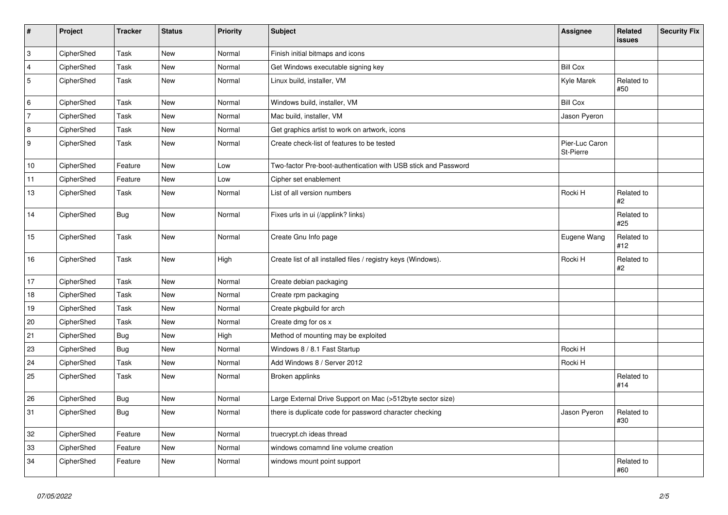| $\vert$ #      | Project    | <b>Tracker</b> | <b>Status</b> | Priority | <b>Subject</b>                                                 | Assignee                    | <b>Related</b><br>issues | <b>Security Fix</b> |
|----------------|------------|----------------|---------------|----------|----------------------------------------------------------------|-----------------------------|--------------------------|---------------------|
| $\overline{3}$ | CipherShed | Task           | <b>New</b>    | Normal   | Finish initial bitmaps and icons                               |                             |                          |                     |
| $\overline{4}$ | CipherShed | Task           | <b>New</b>    | Normal   | Get Windows executable signing key                             | <b>Bill Cox</b>             |                          |                     |
| 5              | CipherShed | Task           | <b>New</b>    | Normal   | Linux build, installer, VM                                     | Kyle Marek                  | Related to<br>#50        |                     |
| 6              | CipherShed | Task           | <b>New</b>    | Normal   | Windows build, installer, VM                                   | <b>Bill Cox</b>             |                          |                     |
| 7              | CipherShed | Task           | New           | Normal   | Mac build, installer, VM                                       | Jason Pyeron                |                          |                     |
| 8              | CipherShed | Task           | New           | Normal   | Get graphics artist to work on artwork, icons                  |                             |                          |                     |
| 9              | CipherShed | Task           | New           | Normal   | Create check-list of features to be tested                     | Pier-Luc Caron<br>St-Pierre |                          |                     |
| 10             | CipherShed | Feature        | <b>New</b>    | Low      | Two-factor Pre-boot-authentication with USB stick and Password |                             |                          |                     |
| 11             | CipherShed | Feature        | <b>New</b>    | Low      | Cipher set enablement                                          |                             |                          |                     |
| 13             | CipherShed | Task           | New           | Normal   | List of all version numbers                                    | Rocki H                     | Related to<br>#2         |                     |
| 14             | CipherShed | <b>Bug</b>     | <b>New</b>    | Normal   | Fixes urls in ui (/applink? links)                             |                             | Related to<br>#25        |                     |
| 15             | CipherShed | Task           | New           | Normal   | Create Gnu Info page                                           | Eugene Wang                 | Related to<br>#12        |                     |
| 16             | CipherShed | Task           | New           | High     | Create list of all installed files / registry keys (Windows).  | Rocki H                     | Related to<br>#2         |                     |
| 17             | CipherShed | Task           | <b>New</b>    | Normal   | Create debian packaging                                        |                             |                          |                     |
| 18             | CipherShed | Task           | <b>New</b>    | Normal   | Create rpm packaging                                           |                             |                          |                     |
| 19             | CipherShed | Task           | New           | Normal   | Create pkgbuild for arch                                       |                             |                          |                     |
| 20             | CipherShed | Task           | <b>New</b>    | Normal   | Create dmg for os x                                            |                             |                          |                     |
| 21             | CipherShed | <b>Bug</b>     | New           | High     | Method of mounting may be exploited                            |                             |                          |                     |
| 23             | CipherShed | Bug            | <b>New</b>    | Normal   | Windows 8 / 8.1 Fast Startup                                   | Rocki H                     |                          |                     |
| 24             | CipherShed | Task           | New           | Normal   | Add Windows 8 / Server 2012                                    | Rocki H                     |                          |                     |
| 25             | CipherShed | Task           | <b>New</b>    | Normal   | Broken applinks                                                |                             | Related to<br>#14        |                     |
| 26             | CipherShed | <b>Bug</b>     | New           | Normal   | Large External Drive Support on Mac (>512byte sector size)     |                             |                          |                     |
| 31             | CipherShed | <b>Bug</b>     | New           | Normal   | there is duplicate code for password character checking        | Jason Pyeron                | Related to<br>#30        |                     |
| $32\,$         | CipherShed | Feature        | <b>New</b>    | Normal   | truecrypt.ch ideas thread                                      |                             |                          |                     |
| 33             | CipherShed | Feature        | New           | Normal   | windows comamnd line volume creation                           |                             |                          |                     |
| 34             | CipherShed | Feature        | New           | Normal   | windows mount point support                                    |                             | Related to<br>#60        |                     |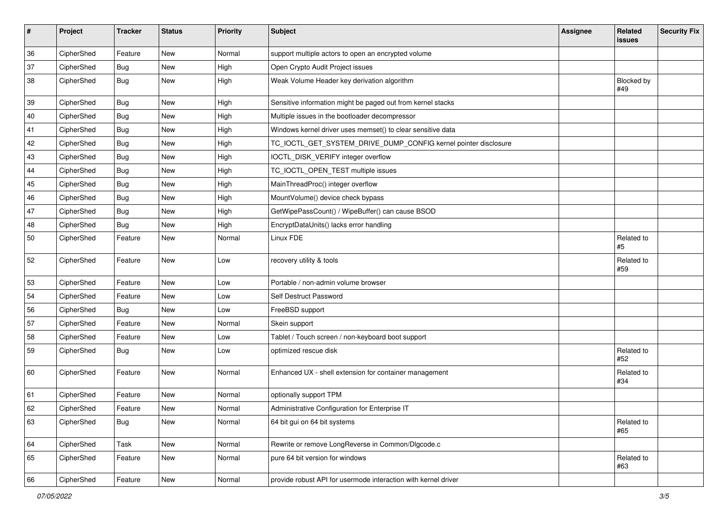| #  | Project    | <b>Tracker</b> | <b>Status</b> | Priority | Subject                                                         | <b>Assignee</b> | Related<br>issues | <b>Security Fix</b> |
|----|------------|----------------|---------------|----------|-----------------------------------------------------------------|-----------------|-------------------|---------------------|
| 36 | CipherShed | Feature        | <b>New</b>    | Normal   | support multiple actors to open an encrypted volume             |                 |                   |                     |
| 37 | CipherShed | <b>Bug</b>     | New           | High     | Open Crypto Audit Project issues                                |                 |                   |                     |
| 38 | CipherShed | <b>Bug</b>     | New           | High     | Weak Volume Header key derivation algorithm                     |                 | Blocked by<br>#49 |                     |
| 39 | CipherShed | <b>Bug</b>     | New           | High     | Sensitive information might be paged out from kernel stacks     |                 |                   |                     |
| 40 | CipherShed | <b>Bug</b>     | New           | High     | Multiple issues in the bootloader decompressor                  |                 |                   |                     |
| 41 | CipherShed | <b>Bug</b>     | New           | High     | Windows kernel driver uses memset() to clear sensitive data     |                 |                   |                     |
| 42 | CipherShed | <b>Bug</b>     | New           | High     | TC_IOCTL_GET_SYSTEM_DRIVE_DUMP_CONFIG kernel pointer disclosure |                 |                   |                     |
| 43 | CipherShed | <b>Bug</b>     | New           | High     | IOCTL_DISK_VERIFY integer overflow                              |                 |                   |                     |
| 44 | CipherShed | Bug            | New           | High     | TC_IOCTL_OPEN_TEST multiple issues                              |                 |                   |                     |
| 45 | CipherShed | <b>Bug</b>     | New           | High     | MainThreadProc() integer overflow                               |                 |                   |                     |
| 46 | CipherShed | <b>Bug</b>     | New           | High     | MountVolume() device check bypass                               |                 |                   |                     |
| 47 | CipherShed | Bug            | New           | High     | GetWipePassCount() / WipeBuffer() can cause BSOD                |                 |                   |                     |
| 48 | CipherShed | Bug            | New           | High     | EncryptDataUnits() lacks error handling                         |                 |                   |                     |
| 50 | CipherShed | Feature        | New           | Normal   | Linux FDE                                                       |                 | Related to<br>#5  |                     |
| 52 | CipherShed | Feature        | New           | Low      | recovery utility & tools                                        |                 | Related to<br>#59 |                     |
| 53 | CipherShed | Feature        | New           | Low      | Portable / non-admin volume browser                             |                 |                   |                     |
| 54 | CipherShed | Feature        | New           | Low      | Self Destruct Password                                          |                 |                   |                     |
| 56 | CipherShed | Bug            | New           | Low      | FreeBSD support                                                 |                 |                   |                     |
| 57 | CipherShed | Feature        | New           | Normal   | Skein support                                                   |                 |                   |                     |
| 58 | CipherShed | Feature        | New           | Low      | Tablet / Touch screen / non-keyboard boot support               |                 |                   |                     |
| 59 | CipherShed | <b>Bug</b>     | New           | Low      | optimized rescue disk                                           |                 | Related to<br>#52 |                     |
| 60 | CipherShed | Feature        | New           | Normal   | Enhanced UX - shell extension for container management          |                 | Related to<br>#34 |                     |
| 61 | CipherShed | Feature        | <b>New</b>    | Normal   | optionally support TPM                                          |                 |                   |                     |
| 62 | CipherShed | Feature        | New           | Normal   | Administrative Configuration for Enterprise IT                  |                 |                   |                     |
| 63 | CipherShed | Bug            | New           | Normal   | 64 bit gui on 64 bit systems                                    |                 | Related to<br>#65 |                     |
| 64 | CipherShed | Task           | New           | Normal   | Rewrite or remove LongReverse in Common/Dlgcode.c               |                 |                   |                     |
| 65 | CipherShed | Feature        | New           | Normal   | pure 64 bit version for windows                                 |                 | Related to<br>#63 |                     |
| 66 | CipherShed | Feature        | New           | Normal   | provide robust API for usermode interaction with kernel driver  |                 |                   |                     |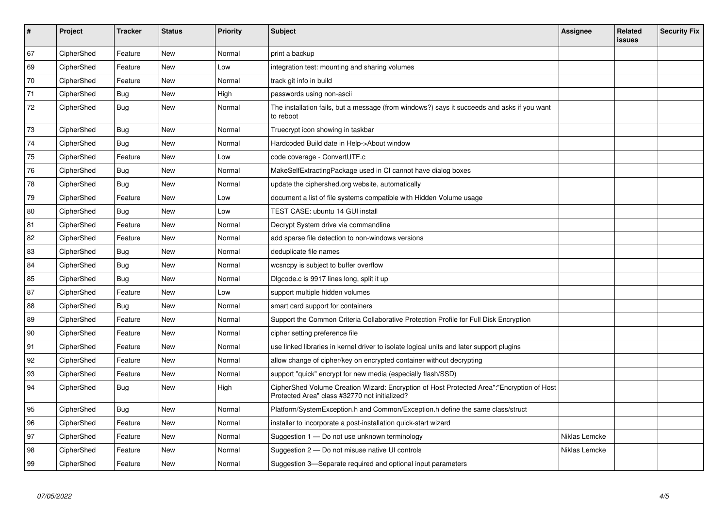| $\sharp$ | Project    | <b>Tracker</b> | <b>Status</b> | <b>Priority</b> | <b>Subject</b>                                                                                                                             | Assignee      | Related<br><b>issues</b> | <b>Security Fix</b> |
|----------|------------|----------------|---------------|-----------------|--------------------------------------------------------------------------------------------------------------------------------------------|---------------|--------------------------|---------------------|
| 67       | CipherShed | Feature        | <b>New</b>    | Normal          | print a backup                                                                                                                             |               |                          |                     |
| 69       | CipherShed | Feature        | New           | Low             | integration test: mounting and sharing volumes                                                                                             |               |                          |                     |
| 70       | CipherShed | Feature        | <b>New</b>    | Normal          | track git info in build                                                                                                                    |               |                          |                     |
| 71       | CipherShed | Bug            | <b>New</b>    | High            | passwords using non-ascii                                                                                                                  |               |                          |                     |
| $72\,$   | CipherShed | Bug            | New           | Normal          | The installation fails, but a message (from windows?) says it succeeds and asks if you want<br>to reboot                                   |               |                          |                     |
| 73       | CipherShed | Bug            | New           | Normal          | Truecrypt icon showing in taskbar                                                                                                          |               |                          |                     |
| 74       | CipherShed | Bug            | <b>New</b>    | Normal          | Hardcoded Build date in Help->About window                                                                                                 |               |                          |                     |
| 75       | CipherShed | Feature        | New           | Low             | code coverage - ConvertUTF.c                                                                                                               |               |                          |                     |
| 76       | CipherShed | <b>Bug</b>     | New           | Normal          | MakeSelfExtractingPackage used in CI cannot have dialog boxes                                                                              |               |                          |                     |
| 78       | CipherShed | Bug            | New           | Normal          | update the ciphershed.org website, automatically                                                                                           |               |                          |                     |
| 79       | CipherShed | Feature        | New           | Low             | document a list of file systems compatible with Hidden Volume usage                                                                        |               |                          |                     |
| 80       | CipherShed | Bug            | New           | Low             | TEST CASE: ubuntu 14 GUI install                                                                                                           |               |                          |                     |
| 81       | CipherShed | Feature        | <b>New</b>    | Normal          | Decrypt System drive via commandline                                                                                                       |               |                          |                     |
| 82       | CipherShed | Feature        | New           | Normal          | add sparse file detection to non-windows versions                                                                                          |               |                          |                     |
| 83       | CipherShed | Bug            | New           | Normal          | deduplicate file names                                                                                                                     |               |                          |                     |
| 84       | CipherShed | Bug            | <b>New</b>    | Normal          | wcsncpy is subject to buffer overflow                                                                                                      |               |                          |                     |
| 85       | CipherShed | Bug            | <b>New</b>    | Normal          | Digcode.c is 9917 lines long, split it up                                                                                                  |               |                          |                     |
| 87       | CipherShed | Feature        | <b>New</b>    | Low             | support multiple hidden volumes                                                                                                            |               |                          |                     |
| 88       | CipherShed | Bug            | New           | Normal          | smart card support for containers                                                                                                          |               |                          |                     |
| 89       | CipherShed | Feature        | <b>New</b>    | Normal          | Support the Common Criteria Collaborative Protection Profile for Full Disk Encryption                                                      |               |                          |                     |
| 90       | CipherShed | Feature        | New           | Normal          | cipher setting preference file                                                                                                             |               |                          |                     |
| 91       | CipherShed | Feature        | New           | Normal          | use linked libraries in kernel driver to isolate logical units and later support plugins                                                   |               |                          |                     |
| 92       | CipherShed | Feature        | New           | Normal          | allow change of cipher/key on encrypted container without decrypting                                                                       |               |                          |                     |
| 93       | CipherShed | Feature        | New           | Normal          | support "quick" encrypt for new media (especially flash/SSD)                                                                               |               |                          |                     |
| 94       | CipherShed | Bug            | New           | High            | CipherShed Volume Creation Wizard: Encryption of Host Protected Area":"Encryption of Host<br>Protected Area" class #32770 not initialized? |               |                          |                     |
| 95       | CipherShed | <b>Bug</b>     | New           | Normal          | Platform/SystemException.h and Common/Exception.h define the same class/struct                                                             |               |                          |                     |
| 96       | CipherShed | Feature        | New           | Normal          | installer to incorporate a post-installation quick-start wizard                                                                            |               |                          |                     |
| 97       | CipherShed | Feature        | New           | Normal          | Suggestion 1 - Do not use unknown terminology                                                                                              | Niklas Lemcke |                          |                     |
| 98       | CipherShed | Feature        | New           | Normal          | Suggestion 2 - Do not misuse native UI controls                                                                                            | Niklas Lemcke |                          |                     |
| 99       | CipherShed | Feature        | <b>New</b>    | Normal          | Suggestion 3-Separate required and optional input parameters                                                                               |               |                          |                     |